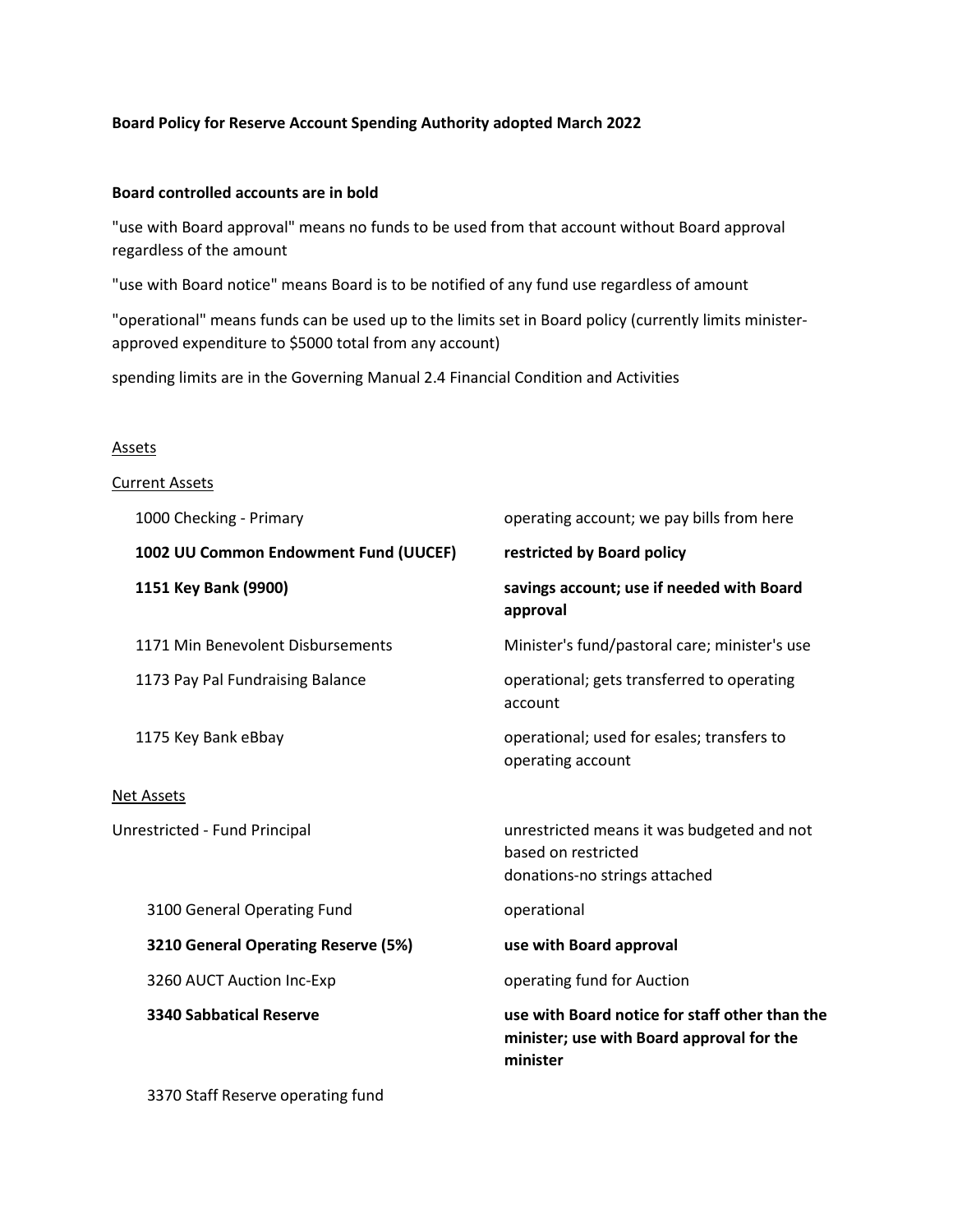## **Board Policy for Reserve Account Spending Authority adopted March 2022**

## **Board controlled accounts are in bold**

"use with Board approval" means no funds to be used from that account without Board approval regardless of the amount

"use with Board notice" means Board is to be notified of any fund use regardless of amount

"operational" means funds can be used up to the limits set in Board policy (currently limits ministerapproved expenditure to \$5000 total from any account)

spending limits are in the Governing Manual 2.4 Financial Condition and Activities

## **Assets**

| <b>Current Assets</b>                 |                                                                                                         |
|---------------------------------------|---------------------------------------------------------------------------------------------------------|
| 1000 Checking - Primary               | operating account; we pay bills from here                                                               |
| 1002 UU Common Endowment Fund (UUCEF) | restricted by Board policy                                                                              |
| 1151 Key Bank (9900)                  | savings account; use if needed with Board<br>approval                                                   |
| 1171 Min Benevolent Disbursements     | Minister's fund/pastoral care; minister's use                                                           |
| 1173 Pay Pal Fundraising Balance      | operational; gets transferred to operating<br>account                                                   |
| 1175 Key Bank eBbay                   | operational; used for esales; transfers to<br>operating account                                         |
| <b>Net Assets</b>                     |                                                                                                         |
| Unrestricted - Fund Principal         | unrestricted means it was budgeted and not<br>based on restricted<br>donations-no strings attached      |
| 3100 General Operating Fund           | operational                                                                                             |
| 3210 General Operating Reserve (5%)   | use with Board approval                                                                                 |
| 3260 AUCT Auction Inc-Exp             | operating fund for Auction                                                                              |
| <b>3340 Sabbatical Reserve</b>        | use with Board notice for staff other than the<br>minister; use with Board approval for the<br>minister |
|                                       |                                                                                                         |

3370 Staff Reserve operating fund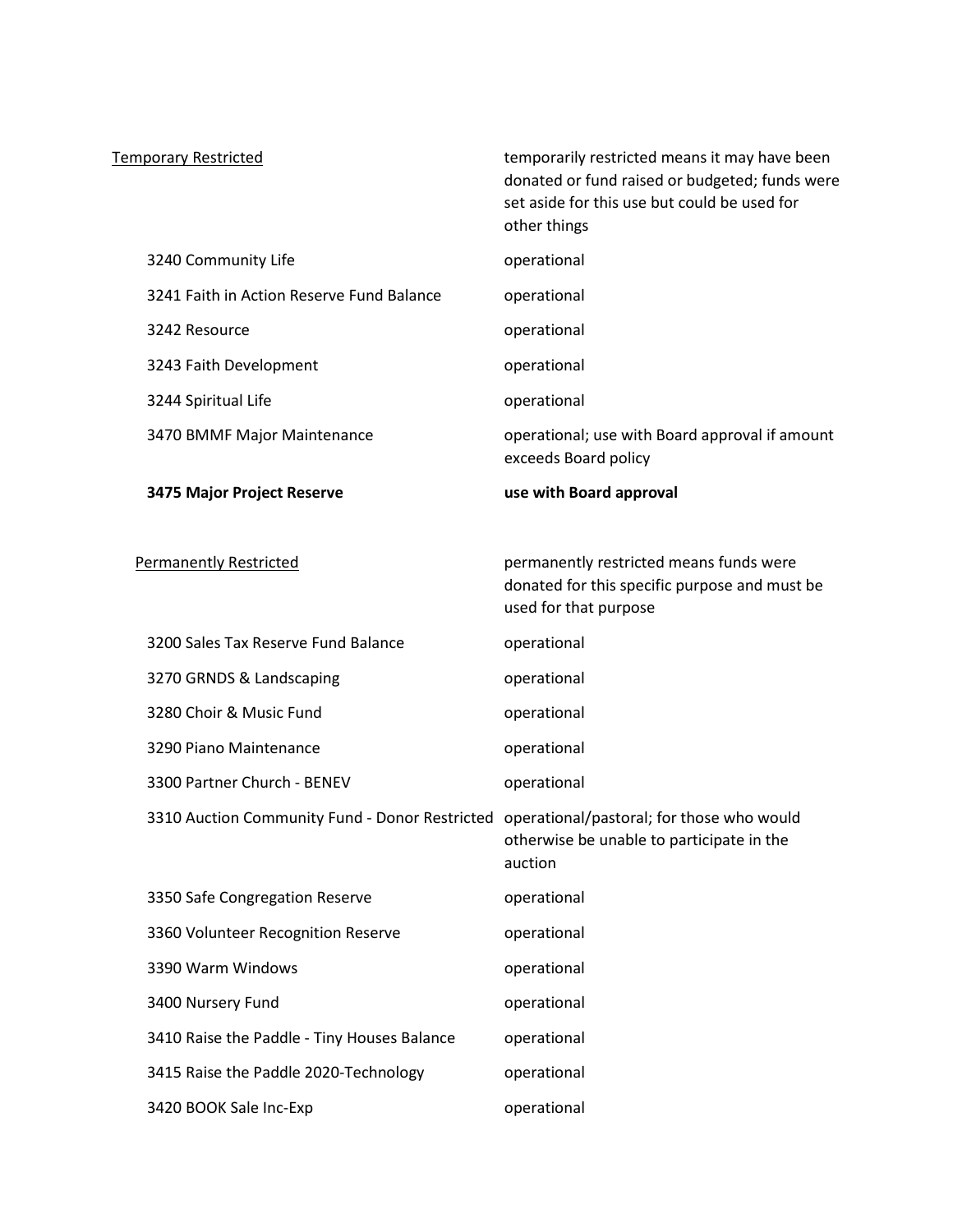| <b>Temporary Restricted</b>                                                              | temporarily restricted means it may have been<br>donated or fund raised or budgeted; funds were<br>set aside for this use but could be used for<br>other things |
|------------------------------------------------------------------------------------------|-----------------------------------------------------------------------------------------------------------------------------------------------------------------|
| 3240 Community Life                                                                      | operational                                                                                                                                                     |
| 3241 Faith in Action Reserve Fund Balance                                                | operational                                                                                                                                                     |
| 3242 Resource                                                                            | operational                                                                                                                                                     |
| 3243 Faith Development                                                                   | operational                                                                                                                                                     |
| 3244 Spiritual Life                                                                      | operational                                                                                                                                                     |
| 3470 BMMF Major Maintenance                                                              | operational; use with Board approval if amount<br>exceeds Board policy                                                                                          |
| 3475 Major Project Reserve                                                               | use with Board approval                                                                                                                                         |
|                                                                                          |                                                                                                                                                                 |
| <b>Permanently Restricted</b>                                                            | permanently restricted means funds were<br>donated for this specific purpose and must be<br>used for that purpose                                               |
| 3200 Sales Tax Reserve Fund Balance                                                      | operational                                                                                                                                                     |
| 3270 GRNDS & Landscaping                                                                 | operational                                                                                                                                                     |
| 3280 Choir & Music Fund                                                                  | operational                                                                                                                                                     |
| 3290 Piano Maintenance                                                                   | operational                                                                                                                                                     |
| 3300 Partner Church - BENEV                                                              | operational                                                                                                                                                     |
| 3310 Auction Community Fund - Donor Restricted operational/pastoral; for those who would | otherwise be unable to participate in the<br>auction                                                                                                            |
| 3350 Safe Congregation Reserve                                                           | operational                                                                                                                                                     |
| 3360 Volunteer Recognition Reserve                                                       | operational                                                                                                                                                     |
| 3390 Warm Windows                                                                        | operational                                                                                                                                                     |
| 3400 Nursery Fund                                                                        | operational                                                                                                                                                     |
| 3410 Raise the Paddle - Tiny Houses Balance                                              | operational                                                                                                                                                     |
| 3415 Raise the Paddle 2020-Technology                                                    | operational                                                                                                                                                     |
| 3420 BOOK Sale Inc-Exp                                                                   | operational                                                                                                                                                     |